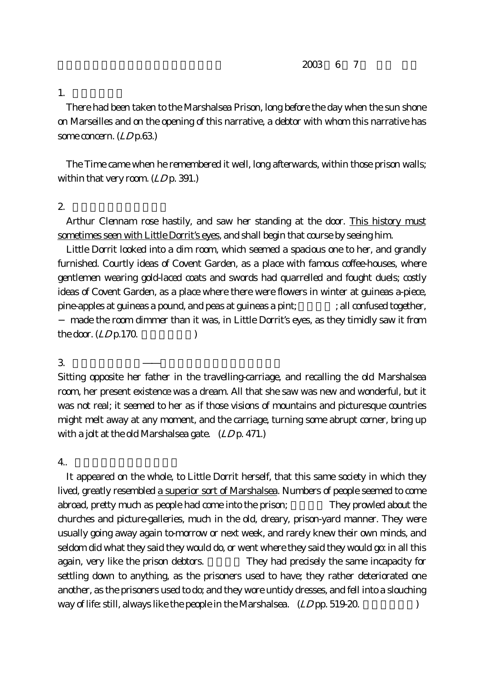$2003$  6 7

1.

There had been taken to the Marshalsea Prison, long before the day when the sun shone on Marseilles and on the opening of this narrative, a debtor with whom this narrative has some concern. (*LD* p.63.)

The Time came when he remembered it well, long afterwards, within those prison walls; within that very room.  $(LDp. 391.)$ 

## $2.$

Arthur Clennam rose hastily, and saw her standing at the door. This history must sometimes seen with Little Dorrit's eyes, and shall begin that course by seeing him.

Little Dorrit looked into a dim room, which seemed a spacious one to her, and grandly furnished. Courtly ideas of Covent Garden, as a place with famous coffee-houses, where gentlemen wearing gold-laced coats and swords had quarrelled and fought duels; costly ideas of Covent Garden, as a place where there were flowers in winter at guineas a-piece, pine-apples at guineas a pound, and peas at guineas a pint;  $\qquad \qquad ;$  all confused together,

 made the room dimmer than it was, in Little Dorrit's eyes, as they timidly saw it from the door.  $(LDp.170.$ 

## $3.$

Sitting opposite her father in the travelling-carriage, and recalling the old Marshalsea room, her present existence was a dream. All that she saw was new and wonderful, but it was not real; it seemed to her as if those visions of mountains and picturesque countries might melt away at any moment, and the carriage, turning some abrupt corner, bring up with a jolt at the old Marshalsea gate.  $(LDp. 471.)$ 

 $4.$ 

It appeared on the whole, to Little Dorrit herself, that this same society in which they lived, greatly resembled a superior sort of Marshalsea. Numbers of people seemed to come abroad, pretty much as people had come into the prison; They prowled about the churches and picture-galleries, much in the old, dreary, prison-yard manner. They were usually going away again to-morrow or next week, and rarely knew their own minds, and seldom did what they said they would do, or went where they said they would go: in all this again, very like the prison debtors. They had precisely the same incapacity for settling down to anything, as the prisoners used to have; they rather deteriorated one another, as the prisoners used to do; and they wore untidy dresses, and fell into a slouching way of life: still, always like the people in the Marshalsea.  $(LD$  pp. 519-20.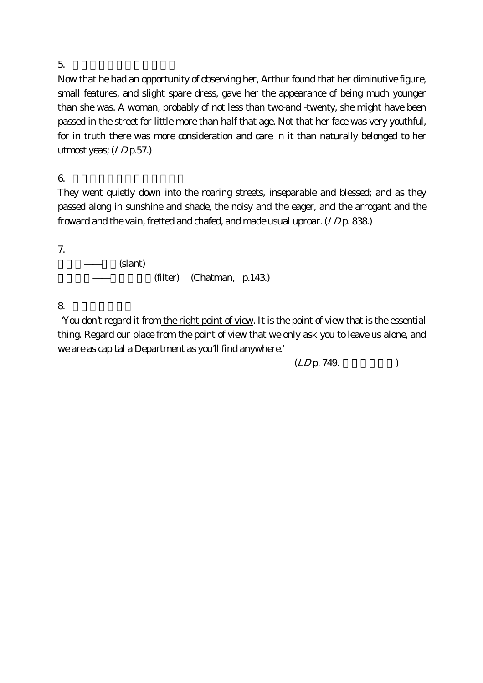$5.$ 

Now that he had an opportunity of observing her, Arthur found that her diminutive figure, small features, and slight spare dress, gave her the appearance of being much younger than she was. A woman, probably of not less than two-and -twenty, she might have been passed in the street for little more than half that age. Not that her face was very youthful, for in truth there was more consideration and care in it than naturally belonged to her utmost yeas;  $(LDp.57.)$ 

 $6.$ 

They went quietly down into the roaring streets, inseparable and blessed; and as they passed along in sunshine and shade, the noisy and the eager, and the arrogant and the froward and the vain, fretted and chafed, and made usual uproar. (LD p. 838.)

7.

(slant)

(filter) (Chatman, p.143.)

8. 「正しい視点」

 'You don't regard it from the right point of view. It is the point of view that is the essential thing. Regard our place from the point of view that we only ask you to leave us alone, and we are as capital a Department as you'll find anywhere.'

 $(LD_{\rm p.} 749.$